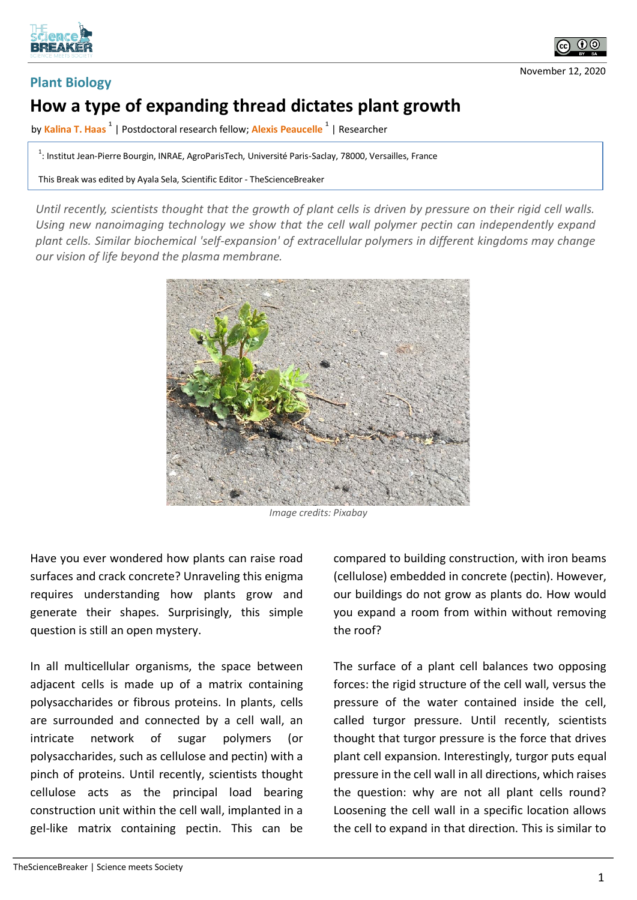



November 12, 2020

## **Plant Biology**

## **How a type of expanding thread dictates plant growth**

by **Kalina T. Haas <sup>1</sup>** | Postdoctoral research fellow; **Alexis Peaucelle <sup>1</sup>** | Researcher

<sup>1</sup>: Institut Jean-Pierre Bourgin, INRAE, AgroParisTech, Université Paris-Saclay, 78000, Versailles, France

This Break was edited by Ayala Sela, Scientific Editor - TheScienceBreaker

*Until recently, scientists thought that the growth of plant cells is driven by pressure on their rigid cell walls. Using new nanoimaging technology we show that the cell wall polymer pectin can independently expand plant cells. Similar biochemical 'self-expansion' of extracellular polymers in different kingdoms may change our vision of life beyond the plasma membrane.*



*Image credits: Pixabay*

Have you ever wondered how plants can raise road surfaces and crack concrete? Unraveling this enigma requires understanding how plants grow and generate their shapes. Surprisingly, this simple question is still an open mystery.

In all multicellular organisms, the space between adjacent cells is made up of a matrix containing polysaccharides or fibrous proteins. In plants, cells are surrounded and connected by a cell wall, an intricate network of sugar polymers (or polysaccharides, such as cellulose and pectin) with a pinch of proteins. Until recently, scientists thought cellulose acts as the principal load bearing construction unit within the cell wall, implanted in a gel-like matrix containing pectin. This can be

compared to building construction, with iron beams (cellulose) embedded in concrete (pectin). However, our buildings do not grow as plants do. How would you expand a room from within without removing the roof?

The surface of a plant cell balances two opposing forces: the rigid structure of the cell wall, versus the pressure of the water contained inside the cell, called turgor pressure. Until recently, scientists thought that turgor pressure is the force that drives plant cell expansion. Interestingly, turgor puts equal pressure in the cell wall in all directions, which raises the question: why are not all plant cells round? Loosening the cell wall in a specific location allows the cell to expand in that direction. This is similar to